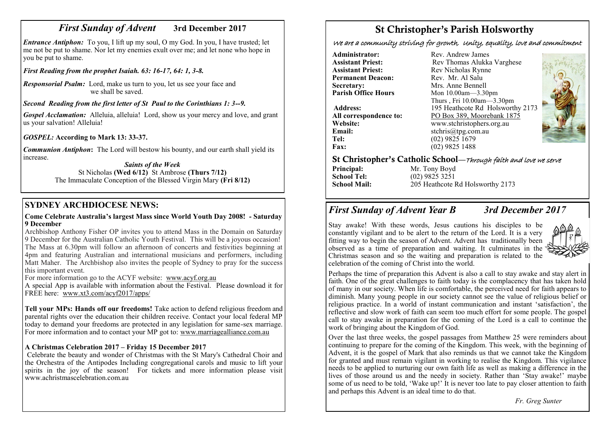# *First Sunday of Advent* **3rd December 2017**

*Entrance Antiphon:* To you, I lift up my soul, O my God. In you, I have trusted; let me not be put to shame. Nor let my enemies exult over me; and let none who hope in you be put to shame.

## *First Reading from the prophet Isaiah. 63: 16-17, 64: 1, 3-8.*

*Responsorial Psalm:* Lord, make us turn to you, let us see your face and we shall be saved.

# *Second Reading from the first letter of St Paul to the Corinthians 1: 3--9.*

*Gospel Acclamation:* Alleluia, alleluia! Lord, show us your mercy and love, and grant us your salvation! Alleluia!

*GOSPEL:* **According to Mark 13: 33-37.**

*Communion Antiphon***:** The Lord will bestow his bounty, and our earth shall yield its increase.

*Saints of the Week* St Nicholas **(Wed 6/12)** St Ambrose **(Thurs 7/12)** The Immaculate Conception of the Blessed Virgin Mary **(Fri 8/12)** 

# **SYDNEY ARCHDIOCESE NEWS:**

#### **Come Celebrate Australia's largest Mass since World Youth Day 2008! - Saturday 9 December**

Archbishop Anthony Fisher OP invites you to attend Mass in the Domain on Saturday 9 December for the Australian Catholic Youth Festival. This will be a joyous occasion! The Mass at 6.30pm will follow an afternoon of concerts and festivities beginning at 4pm and featuring Australian and international musicians and performers, including Matt Maher. The Archbishop also invites the people of Sydney to pray for the success this important event.

For more information go to the ACYF website: [www.acyf.org.au](http://www.acyf.org.au)

A special App is available with information about the Festival. Please download it for FREE here: [www.xt3.com/acyf2017/apps/](http://www.xt3.com/acyf2017/apps/)

**Tell your MPs: Hands off our freedoms!** Take action to defend religious freedom and parental rights over the education their children receive. Contact your local federal MP today to demand your freedoms are protected in any legislation for same-sex marriage. For more information and to contact your MP got to: [www.marriagealliance.com.au](http://www.marriagealliance.com.au)

# **A Christmas Celebration 2017 – Friday 15 December 2017**

Celebrate the beauty and wonder of Christmas with the St Mary's Cathedral Choir and the Orchestra of the Antipodes Including congregational carols and music to lift your spirits in the joy of the season! For tickets and more information please visit www.achristmascelebration.com.au

# St Christopher's Parish Holsworthy

We are a community striving for growth, Unity, equality, love and commitment

**Administrator:** Rev. Andrew James<br> **Assistant Priest:** Rev. Thomas Alukka **Permanent Deacon:**<br>Secretary: **Secretary:** Mrs. Anne Bennell<br>**Parish Office Hours** Mon 10.00am—3.30

**Email:** stchris@tpg.com.au<br> **Tel:** (02) 9825 1679 **Fax:** (02) 9825 1488

**Assistant Priest: Rev Thomas Alukka Varghese**<br>**Assistant Priest: Rev Nicholas Rynne** Rev Nicholas Rynne<br>Rev Mr Al Salu **Parish Office Hours** Mon 10.00am—3.30pm Thurs , Fri 10.00am—3.30pm **Address:** 195 Heathcote Rd Holsworthy 2173 **All correspondence to:** PO Box 389, Moorebank 1875<br>Website: www.stchristophers.org.au **Website:** www.stchristophers.org.au<br> **Email:** stchris@tng.com au **Tel:** (02) 9825 1679



## St Christopher's Catholic School—Through faith and love we serve

**Principal:** Mr. Tony Boyd<br> **School Tel:** (02) 9825 3251 **School Tel:** (02) 9825 3251<br>**School Mail:** 205 Heathcote I

**School Mail:** 205 Heathcote Rd Holsworthy 2173

# *First Sunday of Advent Year B 3rd December 2017*

Stay awake! With these words, Jesus cautions his disciples to be constantly vigilant and to be alert to the return of the Lord. It is a very fitting way to begin the season of Advent. Advent has traditionally been observed as a time of preparation and waiting. It culminates in the Christmas season and so the waiting and preparation is related to the celebration of the coming of Christ into the world.



Perhaps the time of preparation this Advent is also a call to stay awake and stay alert in faith. One of the great challenges to faith today is the complacency that has taken hold of many in our society. When life is comfortable, the perceived need for faith appears to diminish. Many young people in our society cannot see the value of religious belief or religious practice. In a world of instant communication and instant 'satisfaction', the reflective and slow work of faith can seem too much effort for some people. The gospel call to stay awake in preparation for the coming of the Lord is a call to continue the work of bringing about the Kingdom of God.

Over the last three weeks, the gospel passages from Matthew 25 were reminders about continuing to prepare for the coming of the Kingdom. This week, with the beginning of Advent, it is the gospel of Mark that also reminds us that we cannot take the Kingdom for granted and must remain vigilant in working to realise the Kingdom. This vigilance needs to be applied to nurturing our own faith life as well as making a difference in the lives of those around us and the needy in society. Rather than 'Stay awake!' maybe some of us need to be told, 'Wake up!' It is never too late to pay closer attention to faith and perhaps this Advent is an ideal time to do that.

 *Fr. Greg Sunter*